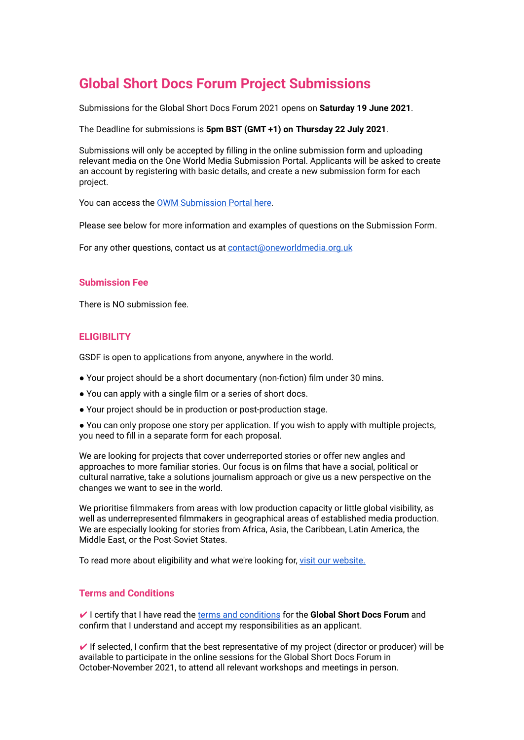# **Global Short Docs Forum Project Submissions**

Submissions for the Global Short Docs Forum 2021 opens on **Saturday 19 June 2021**.

The Deadline for submissions is **5pm BST (GMT +1) on Thursday 22 July 2021**.

Submissions will only be accepted by filling in the online submission form and uploading relevant media on the One World Media Submission Portal. Applicants will be asked to create an account by registering with basic details, and create a new submission form for each project.

You can access the OWM [Submission](https://oneworldmedia.awardsplatform.com) Portal here.

Please see below for more information and examples of questions on the Submission Form.

For any other questions, contact us at [contact@oneworldmedia.org.uk](mailto:contact@oneworldmedia.org.uk)

#### **Submission Fee**

There is NO submission fee.

## **ELIGIBILITY**

GSDF is open to applications from anyone, anywhere in the world.

- Your project should be a short documentary (non-fiction) film under 30 mins.
- You can apply with a single film or a series of short docs.
- Your project should be in production or post-production stage.
- You can only propose one story per application. If you wish to apply with multiple projects, you need to fill in a separate form for each proposal.

We are looking for projects that cover underreported stories or offer new angles and approaches to more familiar stories. Our focus is on films that have a social, political or cultural narrative, take a solutions journalism approach or give us a new perspective on the changes we want to see in the world.

We prioritise filmmakers from areas with low production capacity or little global visibility, as well as underrepresented filmmakers in geographical areas of established media production. We are especially looking for stories from Africa, Asia, the Caribbean, Latin America, the Middle East, or the Post-Soviet States.

To read more about eligibility and what we're looking for, visit our [website.](https://oneworldmedia.org.uk/global-short-docs/how-to-apply/)

## **Terms and Conditions**

✔ I certify that I have read the terms and [conditions](https://oneworldmedia.wpengine.com/global-short-docs/terms-and-conditions-gsdf/) for the **Global Short Docs Forum** and confirm that I understand and accept my responsibilities as an applicant.

 $\vee$  If selected, I confirm that the best representative of my project (director or producer) will be available to participate in the online sessions for the Global Short Docs Forum in October-November 2021, to attend all relevant workshops and meetings in person.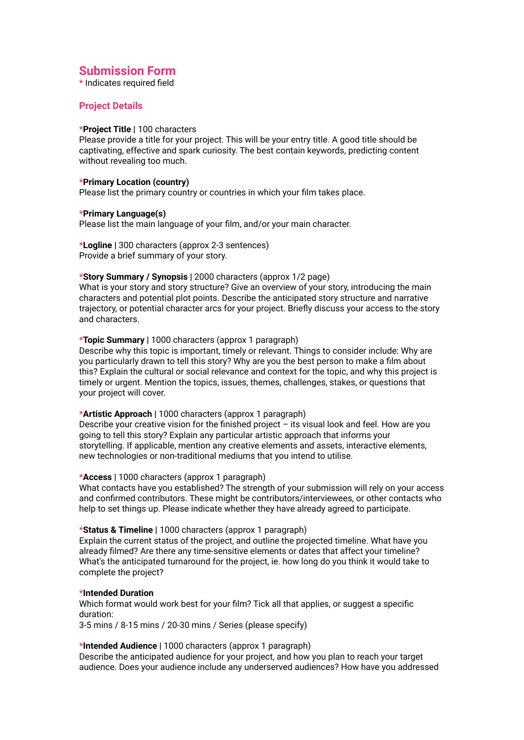# **Submission Form**

**\*** Indicates required field

# **Project Details**

#### **\*Project Title |** 100 characters

Please provide a title for your project. This will be your entry title. A good title should be captivating, effective and spark curiosity. The best contain keywords, predicting content without revealing too much.

#### **\*Primary Location (country)**

Please list the primary country or countries in which your film takes place.

#### **\*Primary Language(s)**

Please list the main language of your film, and/or your main character.

**\*Logline |** 300 characters (approx 2-3 sentences) Provide a brief summary of your story.

#### **\*Story Summary / Synopsis |** 2000 characters (approx 1/2 page)

What is your story and story structure? Give an overview of your story, introducing the main characters and potential plot points. Describe the anticipated story structure and narrative trajectory, or potential character arcs for your project. Briefly discuss your access to the story and characters.

#### **\*Topic Summary |** 1000 characters (approx 1 paragraph)

Describe why this topic is important, timely or relevant. Things to consider include: Why are you particularly drawn to tell this story? Why are you the best person to make a film about this? Explain the cultural or social relevance and context for the topic, and why this project is timely or urgent. Mention the topics, issues, themes, challenges, stakes, or questions that your project will cover.

#### **\*Artistic Approach |** 1000 characters (approx 1 paragraph)

Describe your creative vision for the finished project – its visual look and feel. How are you going to tell this story? Explain any particular artistic approach that informs your storytelling. If applicable, mention any creative elements and assets, interactive elements, new technologies or non-traditional mediums that you intend to utilise.

#### **\*Access |** 1000 characters (approx 1 paragraph)

What contacts have you established? The strength of your submission will rely on your access and confirmed contributors. These might be contributors/interviewees, or other contacts who help to set things up. Please indicate whether they have already agreed to participate.

#### **\*Status & Timeline |** 1000 characters (approx 1 paragraph)

Explain the current status of the project, and outline the projected timeline. What have you already filmed? Are there any time-sensitive elements or dates that affect your timeline? What's the anticipated turnaround for the project, ie. how long do you think it would take to complete the project?

#### **\*Intended Duration**

Which format would work best for your film? Tick all that applies, or suggest a specific duration:

3-5 mins / 8-15 mins / 20-30 mins / Series (please specify)

#### **\*Intended Audience |** 1000 characters (approx 1 paragraph)

Describe the anticipated audience for your project, and how you plan to reach your target audience. Does your audience include any underserved audiences? How have you addressed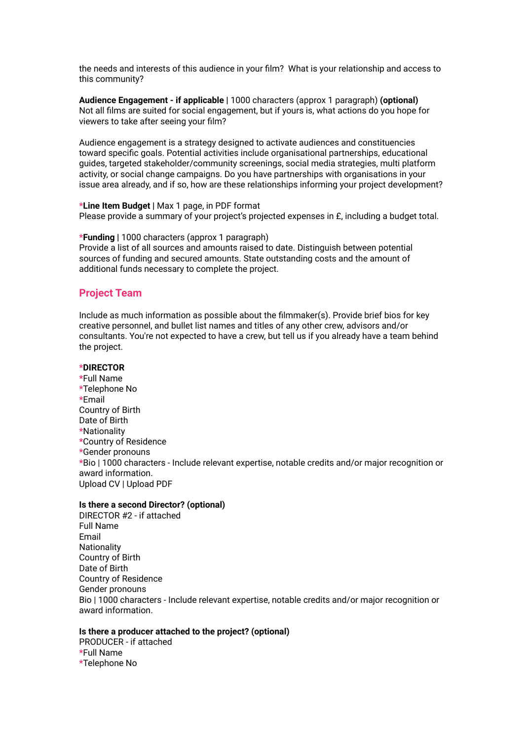the needs and interests of this audience in your film? What is your relationship and access to this community?

**Audience Engagement - if applicable |** 1000 characters (approx 1 paragraph) **(optional)** Not all films are suited for social engagement, but if yours is, what actions do you hope for viewers to take after seeing your film?

Audience engagement is a strategy designed to activate audiences and constituencies toward specific goals. Potential activities include organisational partnerships, educational guides, targeted stakeholder/community screenings, social media strategies, multi platform activity, or social change campaigns. Do you have partnerships with organisations in your issue area already, and if so, how are these relationships informing your project development?

**\*Line Item Budget |** Max 1 page, in PDF format Please provide a summary of your project's projected expenses in £, including a budget total.

**\*Funding |** 1000 characters (approx 1 paragraph) Provide a list of all sources and amounts raised to date. Distinguish between potential sources of funding and secured amounts. State outstanding costs and the amount of additional funds necessary to complete the project.

# **Project Team**

Include as much information as possible about the filmmaker(s). Provide brief bios for key creative personnel, and bullet list names and titles of any other crew, advisors and/or consultants. You're not expected to have a crew, but tell us if you already have a team behind the project.

#### **\*DIRECTOR**

**\***Full Name **\***Telephone No **\***Email Country of Birth Date of Birth **\***Nationality **\***Country of Residence **\***Gender pronouns **\***Bio | 1000 characters - Include relevant expertise, notable credits and/or major recognition or award information. Upload CV | Upload PDF

#### **Is there a second Director? (optional)**

DIRECTOR #2 - if attached Full Name Email **Nationality** Country of Birth Date of Birth Country of Residence Gender pronouns Bio | 1000 characters - Include relevant expertise, notable credits and/or major recognition or award information.

#### **Is there a producer attached to the project? (optional)**

PRODUCER - if attached **\***Full Name **\***Telephone No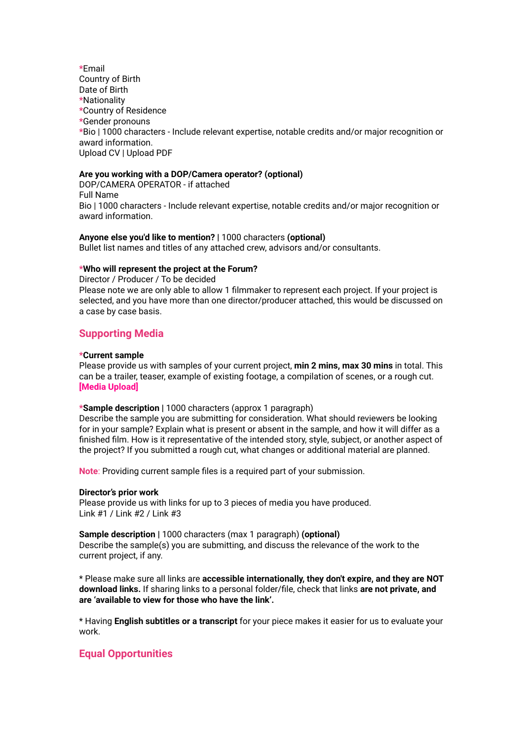**\***Email Country of Birth Date of Birth **\***Nationality **\***Country of Residence **\***Gender pronouns **\***Bio | 1000 characters - Include relevant expertise, notable credits and/or major recognition or award information. Upload CV | Upload PDF

#### **Are you working with a DOP/Camera operator? (optional)**

DOP/CAMERA OPERATOR - if attached Full Name Bio | 1000 characters - Include relevant expertise, notable credits and/or major recognition or award information.

#### **Anyone else you'd like to mention? |** 1000 characters **(optional)**

Bullet list names and titles of any attached crew, advisors and/or consultants.

#### **\*Who will represent the project at the Forum?**

Director / Producer / To be decided Please note we are only able to allow 1 filmmaker to represent each project. If your project is selected, and you have more than one director/producer attached, this would be discussed on a case by case basis.

# **Supporting Media**

#### **\*Current sample**

Please provide us with samples of your current project, **min 2 mins, max 30 mins** in total. This can be a trailer, teaser, example of existing footage, a compilation of scenes, or a rough cut. **[Media Upload]**

#### **\*Sample description |** 1000 characters (approx 1 paragraph)

Describe the sample you are submitting for consideration. What should reviewers be looking for in your sample? Explain what is present or absent in the sample, and how it will differ as a finished film. How is it representative of the intended story, style, subject, or another aspect of the project? If you submitted a rough cut, what changes or additional material are planned.

**Note**: Providing current sample files is a required part of your submission.

#### **Director's prior work**

Please provide us with links for up to 3 pieces of media you have produced. Link #1 / Link #2 / Link #3

#### **Sample description |** 1000 characters (max 1 paragraph) **(optional)** Describe the sample(s) you are submitting, and discuss the relevance of the work to the current project, if any.

\* Please make sure all links are **accessible internationally, they don't expire, and they are NOT download links.** If sharing links to a personal folder/file, check that links **are not private, and are 'available to view for those who have the link'.**

\* Having **English subtitles or a transcript** for your piece makes it easier for us to evaluate your work.

# **Equal Opportunities**